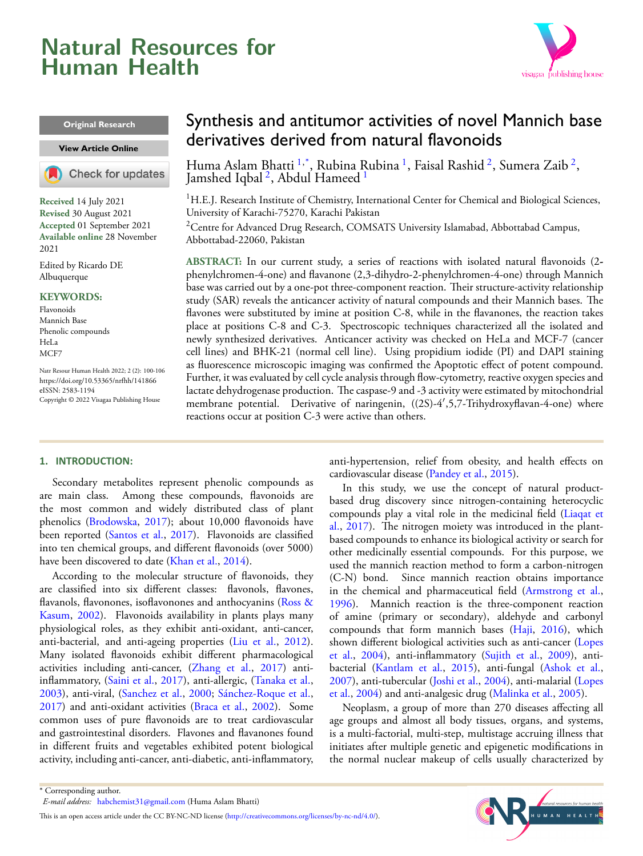# <span id="page-0-2"></span>**Natural Resources for Human Health**



#### **Original Research**

#### **View [Article Online](https://doi.org/10.53365/nrfhh/141866)**

Check for updates

**Received** 14 July 2021 **Revised** 30 August 2021 **Accepted** 01 September 2021 **Available online** 28 November 2021

Edited by Ricardo DE Albuquerque

#### **KEYWORDS:**

Flavonoids Mannich Base Phenolic compounds HeLa MC<sub>F7</sub>

Natr Resour Human Health 2022; 2 (2): 100-106 <https://doi.org/10.53365/nrfhh/141866> eISSN: 2583-1194 Copyright © 2022 Visagaa Publishing House

## Synthesis and antitumor activities of novel Mannich base derivatives derived from natural flavonoids

Huma Aslam Bhatti <sup>[1](#page-0-0),\*</sup>, Rubina Rubina <sup>1</sup>, Faisal Rashid <sup>[2](#page-0-1)</sup>, Sumera Zaib <sup>2</sup>, Jamshed Iqbal <sup>[2](#page-0-1)</sup>, Abdul Hameed <sup>[1](#page-0-0)</sup>

<span id="page-0-0"></span> ${}^{1}$ H.E.J. Research Institute of Chemistry, International Center for Chemical and Biological Sciences, University of Karachi-75270, Karachi Pakistan

<span id="page-0-1"></span><sup>2</sup>Centre for Advanced Drug Research, COMSATS University Islamabad, Abbottabad Campus, Abbottabad-22060, Pakistan

**ABSTRACT:** In our current study, a series of reactions with isolated natural flavonoids (2 phenylchromen-4-one) and flavanone (2,3-dihydro-2-phenylchromen-4-one) through Mannich base was carried out by a one-pot three-component reaction. Their structure-activity relationship study (SAR) reveals the anticancer activity of natural compounds and their Mannich bases. The flavones were substituted by imine at position C-8, while in the flavanones, the reaction takes place at positions C-8 and C-3. Spectroscopic techniques characterized all the isolated and newly synthesized derivatives. Anticancer activity was checked on HeLa and MCF-7 (cancer cell lines) and BHK-21 (normal cell line). Using propidium iodide (PI) and DAPI staining as fluorescence microscopic imaging was confirmed the Apoptotic effect of potent compound. Further, it was evaluated by cell cycle analysis through flow-cytometry, reactive oxygen species and lactate dehydrogenase production. The caspase-9 and -3 activity were estimated by mitochondrial membrane potential. Derivative of naringenin, ((2S)-4*′* ,5,7-Trihydroxyflavan-4-one) where reactions occur at position C-3 were active than others.

#### **1. INTRODUCTION:**

Secondary metabolites represent phenolic compounds as are main class. Among these compounds, flavonoids are the most common and widely distributed class of plant phenolics [\(Brodowska](#page-5-0), [2017\)](#page-5-0); about 10,000 flavonoids have beenreported ([Santos et al.](#page-6-0), [2017\)](#page-6-0). Flavonoids are classified into ten chemical groups, and different flavonoids (over 5000) have been discovered to date [\(Khan et al.,](#page-5-1) [2014\)](#page-5-1).

According to the molecular structure of flavonoids, they are classified into six different classes: flavonols, flavones, flavanols, flavonones, isoflavonones and anthocyanins [\(Ross &](#page-6-1) [Kasum,](#page-6-1) [2002\)](#page-6-1). Flavonoids availability in plants plays many physiological roles, as they exhibit anti-oxidant, anti-cancer, anti-bacterial, and anti-ageing properties([Liu et al.,](#page-5-2) [2012](#page-5-2)). Many isolated flavonoids exhibit different pharmacological activities including anti-cancer,([Zhang et al.,](#page-6-2) [2017](#page-6-2)) antiinflammatory,([Saini et al.](#page-6-3), [2017\)](#page-6-3), anti-allergic,([Tanaka et al.,](#page-6-4) [2003](#page-6-4)), anti-viral,([Sanchez et al.,](#page-6-5) [2000;](#page-6-5) [Sánchez-Roque et al.,](#page-6-6) [2017](#page-6-6)) and anti-oxidant activities([Braca et al.,](#page-5-3) [2002](#page-5-3)). Some common uses of pure flavonoids are to treat cardiovascular and gastrointestinal disorders. Flavones and flavanones found in different fruits and vegetables exhibited potent biological activity, including anti-cancer, anti-diabetic, anti-inflammatory, anti-hypertension, relief from obesity, and health effects on cardiovascular disease([Pandey et al.,](#page-5-4) [2015\)](#page-5-4).

In this study, we use the concept of natural productbased drug discovery since nitrogen-containing heterocyclic compounds play a vital role in the medicinal field [\(Liaqat et](#page-5-5) [al.,](#page-5-5) [2017\)](#page-5-5). The nitrogen moiety was introduced in the plantbased compounds to enhance its biological activity or search for other medicinally essential compounds. For this purpose, we used the mannich reaction method to form a carbon-nitrogen (C-N) bond. Since mannich reaction obtains importance in the chemical and pharmaceutical field([Armstrong et al.](#page-5-6), [1996](#page-5-6)). Mannich reaction is the three-component reaction of amine (primary or secondary), aldehyde and carbonyl compounds that form mannich bases [\(Haji](#page-5-7), [2016](#page-5-7)), which shown different biological activities such as anti-cancer [\(Lopes](#page-5-8) [et al.,](#page-5-8) [2004](#page-5-8)), anti-inflammatory [\(Sujith et al.,](#page-6-7) [2009](#page-6-7)), antibacterial([Kantlam et al.](#page-5-9), [2015\)](#page-5-9), anti-fungal([Ashok et al.](#page-5-10), [2007](#page-5-10)), anti-tubercular([Joshi et al.](#page-5-11), [2004](#page-5-11)), anti-malarial [\(Lopes](#page-5-8) [et al.,](#page-5-8) [2004\)](#page-5-8) and anti-analgesic drug [\(Malinka et al.](#page-5-12), [2005](#page-5-12)).

Neoplasm, a group of more than 270 diseases affecting all age groups and almost all body tissues, organs, and systems, is a multi-factorial, multi-step, multistage accruing illness that initiates after multiple genetic and epigenetic modifications in the normal nuclear makeup of cells usually characterized by



<sup>\*</sup> Corresponding author.

*E-mail address:* [habchemist31@gmail.com](mailto:{habchemist31@gmail.com} ) (Huma Aslam Bhatti)

Thisis an open access article under the CC BY-NC-ND license (<http://creativecommons.org/licenses/by-nc-nd/4.0/>).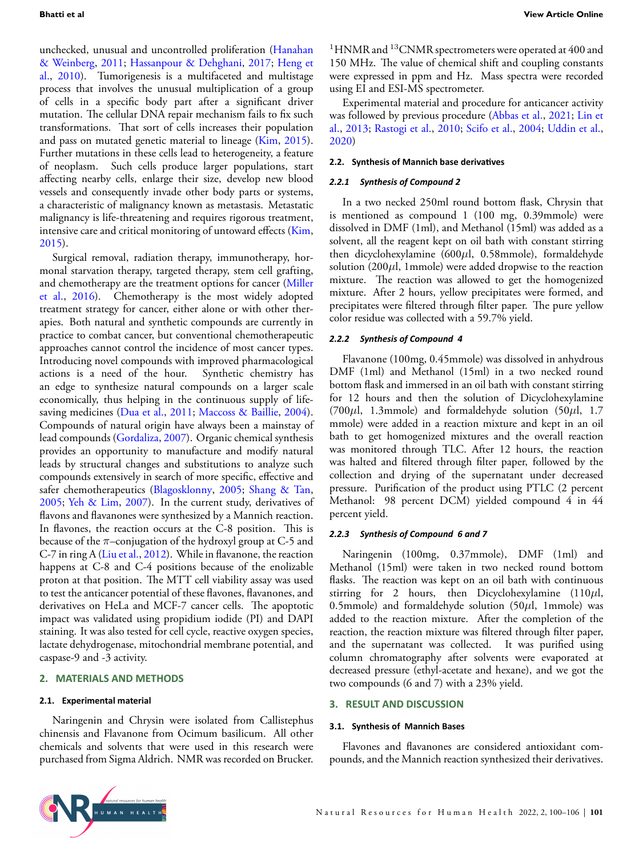unchecked, unusual and uncontrolled proliferation([Hanahan](#page-5-13) [& Weinberg,](#page-5-13) [2011](#page-5-13); [Hassanpour & Dehghani](#page-5-14), [2017](#page-5-14); [Heng et](#page-5-15) [al.,](#page-5-15) [2010](#page-5-15)). Tumorigenesis is a multifaceted and multistage process that involves the unusual multiplication of a group of cells in a specific body part after a significant driver mutation. The cellular DNA repair mechanism fails to fix such transformations. That sort of cells increases their population and pass on mutated genetic material to lineage [\(Kim](#page-5-16), [2015](#page-5-16)). Further mutations in these cells lead to heterogeneity, a feature of neoplasm. Such cells produce larger populations, start affecting nearby cells, enlarge their size, develop new blood vessels and consequently invade other body parts or systems, a characteristic of malignancy known as metastasis. Metastatic malignancy is life-threatening and requires rigorous treatment, intensive care and critical monitoring of untoward effects([Kim,](#page-5-16) [2015](#page-5-16)).

Surgical removal, radiation therapy, immunotherapy, hormonal starvation therapy, targeted therapy, stem cell grafting, and chemotherapy are the treatment options for cancer [\(Miller](#page-5-17) [et al.,](#page-5-17) [2016\)](#page-5-17). Chemotherapy is the most widely adopted treatment strategy for cancer, either alone or with other therapies. Both natural and synthetic compounds are currently in practice to combat cancer, but conventional chemotherapeutic approaches cannot control the incidence of most cancer types. Introducing novel compounds with improved pharmacological actions is a need of the hour. Synthetic chemistry has an edge to synthesize natural compounds on a larger scale economically, thus helping in the continuous supply of life-saving medicines [\(Dua et al.,](#page-5-18) [2011](#page-5-18); [Maccoss & Baillie,](#page-5-19) [2004](#page-5-19)). Compounds of natural origin have always been a mainstay of lead compounds([Gordaliza,](#page-5-20) [2007\)](#page-5-20). Organic chemical synthesis provides an opportunity to manufacture and modify natural leads by structural changes and substitutions to analyze such compounds extensively in search of more specific, effective and safer chemotherapeutics [\(Blagosklonny](#page-5-21), [2005](#page-5-21); [Shang & Tan,](#page-6-8) [2005](#page-6-8); [Yeh & Lim](#page-6-9), [2007\)](#page-6-9). In the current study, derivatives of flavons and flavanones were synthesized by a Mannich reaction. In flavones, the reaction occurs at the C-8 position. This is because of the *π*–conjugation of the hydroxyl group at C-5 and C-7 in ring A [\(Liu et al.,](#page-5-2) [2012](#page-5-2)). While in flavanone, the reaction happens at C-8 and C-4 positions because of the enolizable proton at that position. The MTT cell viability assay was used to test the anticancer potential of these flavones, flavanones, and derivatives on HeLa and MCF-7 cancer cells. The apoptotic impact was validated using propidium iodide (PI) and DAPI staining. It was also tested for cell cycle, reactive oxygen species, lactate dehydrogenase, mitochondrial membrane potential, and caspase-9 and -3 activity.

#### **2. MATERIALS AND METHODS**

#### **2.1. Experimental material**

Naringenin and Chrysin were isolated from Callistephus chinensis and Flavanone from Ocimum basilicum. All other chemicals and solvents that were used in this research were purchased from Sigma Aldrich. NMR was recorded on Brucker.

 $1$ HNMR and  $13$ CNMR spectrometers were operated at 400 and 150 MHz. The value of chemical shift and coupling constants were expressed in ppm and Hz. Mass spectra were recorded using EI and ESI-MS spectrometer.

Experimental material and procedure for anticancer activity was followed by previous procedure([Abbas et al.,](#page-5-22) [2021](#page-5-22); [Lin et](#page-5-23) [al.,](#page-5-23) [2013](#page-5-23); [Rastogi et al.,](#page-5-24) [2010](#page-5-24); [Scifo et al.,](#page-6-10) [2004](#page-6-10); [Uddin et al.](#page-6-11), [2020](#page-6-11))

#### **2.2.** Synthesis of Mannich base derivatives

#### *2.2.1 Synthesis of Compound 2*

In a two necked 250ml round bottom flask, Chrysin that is mentioned as compound 1 (100 mg, 0.39mmole) were dissolved in DMF (1ml), and Methanol (15ml) was added as a solvent, all the reagent kept on oil bath with constant stirring then dicyclohexylamine (600*µ*l, 0.58mmole), formaldehyde solution (200*µ*l, 1mmole) were added dropwise to the reaction mixture. The reaction was allowed to get the homogenized mixture. After 2 hours, yellow precipitates were formed, and precipitates were filtered through filter paper. The pure yellow color residue was collected with a 59.7% yield.

## *2.2.2 Synthesis of Compound 4*

Flavanone (100mg, 0.45mmole) was dissolved in anhydrous DMF (1ml) and Methanol (15ml) in a two necked round bottom flask and immersed in an oil bath with constant stirring for 12 hours and then the solution of Dicyclohexylamine (700*µ*l, 1.3mmole) and formaldehyde solution (50*µ*l, 1.7 mmole) were added in a reaction mixture and kept in an oil bath to get homogenized mixtures and the overall reaction was monitored through TLC. After 12 hours, the reaction was halted and filtered through filter paper, followed by the collection and drying of the supernatant under decreased pressure. Purification of the product using PTLC (2 percent Methanol: 98 percent DCM) yielded compound 4 in 44 percent yield.

#### *2.2.3 Synthesis of Compound 6 and 7*

Naringenin (100mg, 0.37mmole), DMF (1ml) and Methanol (15ml) were taken in two necked round bottom flasks. The reaction was kept on an oil bath with continuous stirring for 2 hours, then Dicyclohexylamine (110*µ*l, 0.5mmole) and formaldehyde solution (50*µ*l, 1mmole) was added to the reaction mixture. After the completion of the reaction, the reaction mixture was filtered through filter paper, and the supernatant was collected. It was purified using column chromatography after solvents were evaporated at decreased pressure (ethyl-acetate and hexane), and we got the two compounds (6 and 7) with a 23% yield.

#### **3. RESULT AND DISCUSSION**

#### **3.1. Synthesis of Mannich Bases**

Flavones and flavanones are considered antioxidant compounds, and the Mannich reaction synthesized their derivatives.

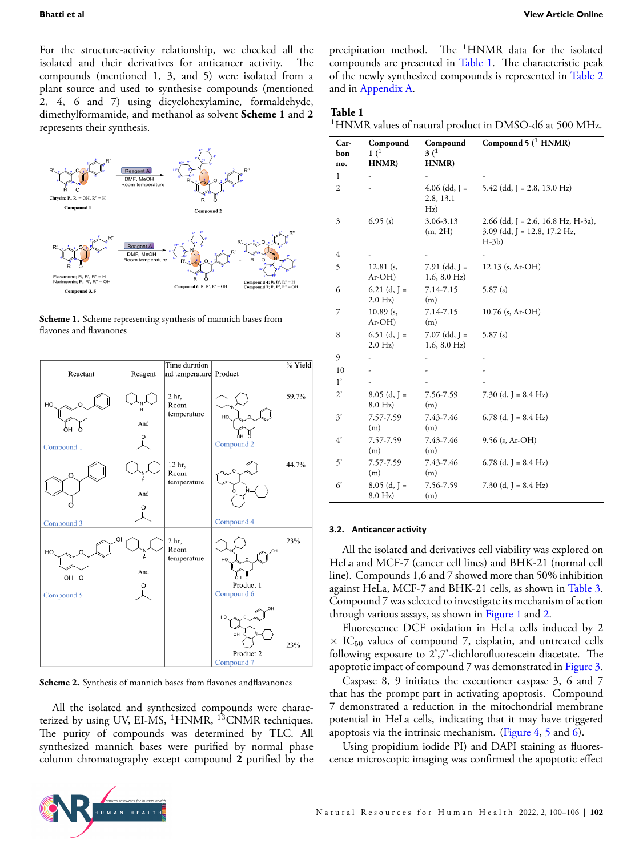For the structure-activity relationship, we checked all the isolated and their derivatives for anticancer activity. The compounds (mentioned 1, 3, and 5) were isolated from a plant source and used to synthesise compounds (mentioned 2, 4, 6 and 7) using dicyclohexylamine, formaldehyde, dimethylformamide, and methanol as solvent **Scheme 1** and **2** represents their synthesis.







Scheme 2. Synthesis of mannich bases from flavones andflavanones

All the isolated and synthesized compounds were characterized by using UV, EI-MS,  ${}^{1}$ HNMR,  ${}^{13}$ CNMR techniques. The purity of compounds was determined by TLC. All synthesized mannich bases were purified by normal phase column chromatography except compound **2** purified by the

precipitation method. The <sup>1</sup>HNMR data for the isolated compounds are presented in Table [1](#page-2-0). The characteristic peak of the newly synthesized compounds is represented in Table [2](#page-3-0) and in Appendix [A.](#page-5-25)

#### <span id="page-2-0"></span>**Table 1**

<sup>1</sup>HNMR values of natural product in DMSO-d6 at 500 MHz.

| Car-<br>bon<br>no. | Compound<br>1 <sup>1</sup><br>HNMR) | Compound<br>3 <sup>1</sup><br>HNMR)      | Compound $5(^1$ HNMR)                                                             |
|--------------------|-------------------------------------|------------------------------------------|-----------------------------------------------------------------------------------|
| 1                  | -                                   |                                          |                                                                                   |
| 2                  |                                     | $4.06$ (dd, J =<br>2.8, 13.1<br>Hz)      | 5.42 (dd, J = 2.8, 13.0 Hz)                                                       |
| 3                  | 6.95(s)                             | 3.06-3.13<br>(m, 2H)                     | $2.66$ (dd, J = 2.6, 16.8 Hz, H-3a),<br>$3.09$ (dd, J = 12.8, 17.2 Hz,<br>$H-3b)$ |
| 4                  |                                     |                                          |                                                                                   |
| 5                  | $12.81$ (s,<br>$Ar-OH$              | 7.91 (dd, J =<br>$1.6, 8.0 \text{ Hz}$   | $12.13$ (s, Ar-OH)                                                                |
| 6                  | $6.21$ (d, J =<br>$2.0 \text{ Hz}$  | 7.14-7.15<br>(m)                         | 5.87 $(s)$                                                                        |
| 7                  | $10.89$ (s,<br>$Ar-OH$              | 7.14-7.15<br>(m)                         | 10.76 (s, Ar-OH)                                                                  |
| 8                  | 6.51 (d, $J =$<br>$2.0 \text{ Hz}$  | $7.07$ (dd, J =<br>$1.6, 8.0 \text{ Hz}$ | 5.87 $(s)$                                                                        |
| 9                  |                                     |                                          |                                                                                   |
| 10                 |                                     |                                          |                                                                                   |
| 1'                 |                                     |                                          |                                                                                   |
| $2^{\circ}$        | $8.05$ (d, J =<br>$8.0 \text{ Hz}$  | 7.56-7.59<br>(m)                         | 7.30 (d, J = 8.4 Hz)                                                              |
| 3'                 | 7.57-7.59<br>(m)                    | 7.43-7.46<br>(m)                         | 6.78 (d, J = $8.4$ Hz)                                                            |
| $4^{\circ}$        | 7.57-7.59<br>(m)                    | 7.43-7.46<br>(m)                         | 9.56 (s, Ar-OH)                                                                   |
| 5'                 | 7.57-7.59<br>(m)                    | 7.43-7.46<br>(m)                         | 6.78 (d, J = $8.4 \text{ Hz}$ )                                                   |
| 6                  | $8.05$ (d, J =<br>$8.0$ Hz)         | 7.56-7.59<br>(m)                         | 7.30 (d, J = $8.4$ Hz)                                                            |

#### **3.2. AnƟcancer acƟvity**

All the isolated and derivatives cell viability was explored on HeLa and MCF-7 (cancer cell lines) and BHK-21 (normal cell line). Compounds 1,6 and 7 showed more than 50% inhibition against HeLa, MCF-7 and BHK-21 cells, as shown in Table [3](#page-3-1). Compound 7 was selected to investigate its mechanism of action through various assays, as shown in Figure [1](#page-4-0) and [2.](#page-4-1)

Fluorescence DCF oxidation in HeLa cells induced by 2  $\times$  IC<sub>50</sub> values of compound 7, cisplatin, and untreated cells following exposure to 2',7'-dichlorofluorescein diacetate. The apoptotic impact of compound 7 was demonstrated in Figure [3](#page-4-2).

Caspase 8, 9 initiates the executioner caspase 3, 6 and 7 that has the prompt part in activating apoptosis. Compound 7 demonstrated a reduction in the mitochondrial membrane potential in HeLa cells, indicating that it may have triggered apoptosis via the intrinsic mechanism. (Figure [4,](#page-4-3) [5](#page-4-4) and [6\)](#page-4-5).

Using propidium iodide PI) and DAPI staining as fluorescence microscopic imaging was confirmed the apoptotic effect

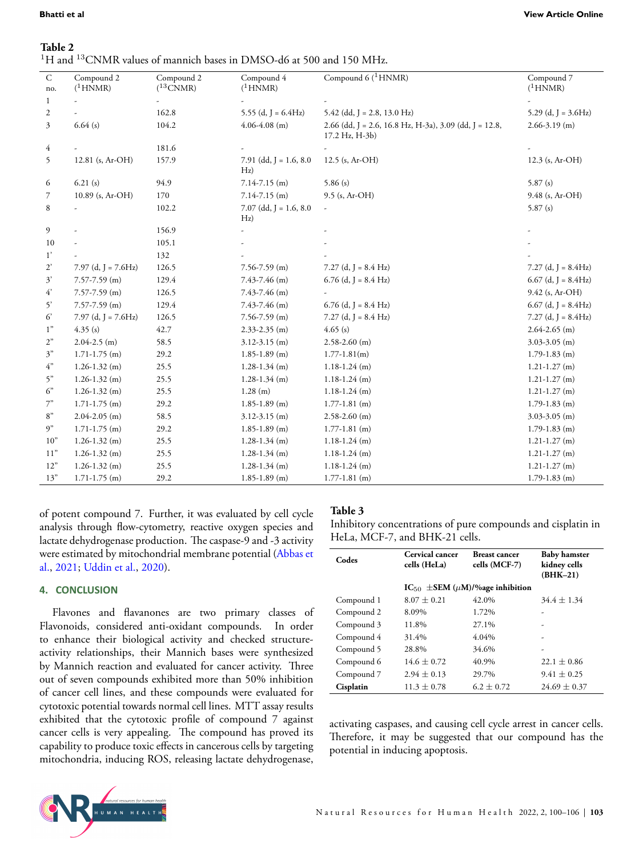## <span id="page-3-0"></span>**Table 2**  $^{1} \rm H$  and  $^{13} \rm CNMR$  values of mannich bases in DMSO-d6 at 500 and 150 MHz.

| $\mathsf{C}$   | Compound 2               | Compound 2    | Compound 4                       | Compound 6 ( <sup>1</sup> HNMR)                                          | Compound 7               |
|----------------|--------------------------|---------------|----------------------------------|--------------------------------------------------------------------------|--------------------------|
| no.            | $(^1$ HNMR)              | $(^{13}CNMR)$ | $(^1$ HNMR)                      |                                                                          | $(^1$ HNMR)              |
| 1              |                          |               |                                  |                                                                          |                          |
| $\overline{c}$ |                          | 162.8         | 5.55 (d, $J = 6.4Hz$ )           | $5.42$ (dd, J = 2.8, 13.0 Hz)                                            | 5.29 (d, $J = 3.6Hz$ )   |
| 3              | 6.64(s)                  | 104.2         | $4.06 - 4.08$ (m)                | 2.66 (dd, J = 2.6, 16.8 Hz, H-3a), 3.09 (dd, J = 12.8,<br>17.2 Hz, H-3b) | $2.66 - 3.19$ (m)        |
| 4              |                          | 181.6         |                                  |                                                                          |                          |
| 5              | 12.81 (s, Ar-OH)         | 157.9         | $7.91$ (dd, J = 1.6, 8.0)<br>Hz) | $12.5$ (s, Ar-OH)                                                        | 12.3 (s, Ar-OH)          |
| 6              | 6.21(s)                  | 94.9          | $7.14 - 7.15$ (m)                | 5.86(s)                                                                  | 5.87(s)                  |
| 7              | 10.89 (s, Ar-OH)         | 170           | $7.14 - 7.15$ (m)                | 9.5 (s, Ar-OH)                                                           | 9.48 (s, Ar-OH)          |
| 8              |                          | 102.2         | $7.07$ (dd, J = 1.6, 8.0)<br>Hz) | $\sim$                                                                   | 5.87(s)                  |
| 9              |                          | 156.9         |                                  |                                                                          |                          |
| 10             |                          | 105.1         |                                  |                                                                          |                          |
| 1'             |                          | 132           |                                  |                                                                          |                          |
| $2^{\circ}$    | $7.97$ (d, J = $7.6$ Hz) | 126.5         | $7.56 - 7.59$ (m)                | $7.27$ (d, J = 8.4 Hz)                                                   | $7.27$ (d, J = 8.4Hz)    |
| 3'             | $7.57 - 7.59$ (m)        | 129.4         | $7.43 - 7.46$ (m)                | $6.76$ (d, J = 8.4 Hz)                                                   | $6.67$ (d, J = 8.4Hz)    |
| $4^{\circ}$    | $7.57 - 7.59$ (m)        | 126.5         | $7.43 - 7.46$ (m)                |                                                                          | $9.42$ (s, Ar-OH)        |
| 5'             | $7.57 - 7.59$ (m)        | 129.4         | 7.43-7.46 (m)                    | $6.76$ (d, J = 8.4 Hz)                                                   | $6.67$ (d, J = $8.4$ Hz) |
| 6              | 7.97 (d, J = 7.6Hz)      | 126.5         | $7.56 - 7.59$ (m)                | $7.27$ (d, J = 8.4 Hz)                                                   | $7.27$ (d, J = 8.4Hz)    |
| 1"             | 4.35(s)                  | 42.7          | $2.33 - 2.35$ (m)                | 4.65(s)                                                                  | $2.64 - 2.65$ (m)        |
| 2"             | $2.04 - 2.5$ (m)         | 58.5          | $3.12 - 3.15$ (m)                | $2.58 - 2.60$ (m)                                                        | $3.03 - 3.05$ (m)        |
| 3"             | $1.71 - 1.75$ (m)        | 29.2          | $1.85 - 1.89$ (m)                | $1.77 - 1.81(m)$                                                         | $1.79 - 1.83$ (m)        |
| 4"             | $1.26 - 1.32$ (m)        | 25.5          | $1.28 - 1.34$ (m)                | $1.18 - 1.24$ (m)                                                        | $1.21 - 1.27$ (m)        |
| 5"             | $1.26 - 1.32$ (m)        | 25.5          | $1.28 - 1.34$ (m)                | $1.18 - 1.24$ (m)                                                        | $1.21 - 1.27$ (m)        |
| 6"             | $1.26 - 1.32$ (m)        | 25.5          | $1.28$ (m)                       | $1.18 - 1.24$ (m)                                                        | $1.21 - 1.27$ (m)        |
| 7"             | $1.71 - 1.75$ (m)        | 29.2          | $1.85 - 1.89$ (m)                | $1.77 - 1.81$ (m)                                                        | $1.79 - 1.83$ (m)        |
| 8"             | $2.04 - 2.05$ (m)        | 58.5          | $3.12 - 3.15$ (m)                | $2.58 - 2.60$ (m)                                                        | $3.03 - 3.05$ (m)        |
| 9"             | $1.71 - 1.75$ (m)        | 29.2          | $1.85 - 1.89$ (m)                | $1.77 - 1.81$ (m)                                                        | $1.79 - 1.83$ (m)        |
| 10"            | $1.26 - 1.32$ (m)        | 25.5          | $1.28 - 1.34$ (m)                | $1.18 - 1.24$ (m)                                                        | $1.21 - 1.27$ (m)        |
| 11"            | $1.26 - 1.32$ (m)        | 25.5          | $1.28 - 1.34$ (m)                | $1.18 - 1.24$ (m)                                                        | $1.21 - 1.27$ (m)        |
| 12"            | $1.26 - 1.32$ (m)        | 25.5          | $1.28 - 1.34$ (m)                | $1.18 - 1.24$ (m)                                                        | $1.21 - 1.27$ (m)        |
| 13"            | $1.71 - 1.75$ (m)        | 29.2          | $1.85 - 1.89$ (m)                | $1.77 - 1.81$ (m)                                                        | $1.79 - 1.83$ (m)        |

of potent compound 7. Further, it was evaluated by cell cycle analysis through flow-cytometry, reactive oxygen species and lactate dehydrogenase production. The caspase-9 and -3 activity were estimated by mitochondrial membrane potential [\(Abbas et](#page-5-22) [al.,](#page-5-22) [2021](#page-5-22); [Uddin et al.,](#page-6-11) [2020\)](#page-6-11).

## **4. CONCLUSION**

Flavones and flavanones are two primary classes of Flavonoids, considered anti-oxidant compounds. In order to enhance their biological activity and checked structureactivity relationships, their Mannich bases were synthesized by Mannich reaction and evaluated for cancer activity. Three out of seven compounds exhibited more than 50% inhibition of cancer cell lines, and these compounds were evaluated for cytotoxic potential towards normal cell lines. MTT assay results exhibited that the cytotoxic profile of compound 7 against cancer cells is very appealing. The compound has proved its capability to produce toxic effects in cancerous cells by targeting mitochondria, inducing ROS, releasing lactate dehydrogenase,

## <span id="page-3-1"></span>**Table 3**

Inhibitory concentrations of pure compounds and cisplatin in HeLa, MCF-7, and BHK-21 cells.

| Codes      | Cervical cancer<br>cells (HeLa)                | <b>Breast cancer</b><br>cells (MCF-7) | <b>Baby</b> hamster<br>kidney cells<br>$(BHK-21)$ |
|------------|------------------------------------------------|---------------------------------------|---------------------------------------------------|
|            | $IC_{50}$ $\pm$ SEM ( $\mu$ M)/%age inhibition |                                       |                                                   |
| Compound 1 | $8.07 \pm 0.21$                                | 42.0%                                 | $34.4 \pm 1.34$                                   |
| Compound 2 | 8.09%                                          | 1.72%                                 |                                                   |
| Compound 3 | 11.8%                                          | 27.1%                                 |                                                   |
| Compound 4 | 31.4%                                          | 4.04%                                 |                                                   |
| Compound 5 | 28.8%                                          | 34.6%                                 |                                                   |
| Compound 6 | $14.6 \pm 0.72$                                | 40.9%                                 | $22.1 + 0.86$                                     |
| Compound 7 | $2.94 \pm 0.13$                                | 29.7%                                 | $9.41 \pm 0.25$                                   |
| Cisplatin  | $11.3 \pm 0.78$                                | $6.2 \pm 0.72$                        | $24.69 \pm 0.37$                                  |

activating caspases, and causing cell cycle arrest in cancer cells. Therefore, it may be suggested that our compound has the potential in inducing apoptosis.

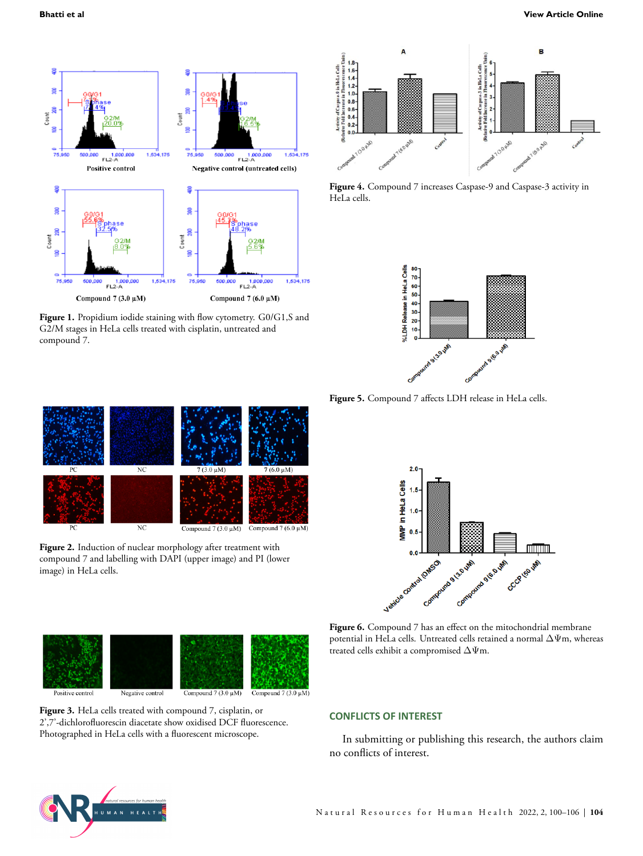<span id="page-4-0"></span>

Figure 1. Propidium iodide staining with flow cytometry. G0/G1,S and G2/M stages in HeLa cells treated with cisplatin, untreated and compound 7.

<span id="page-4-3"></span>

**Figure 4.** Compound 7 increases Caspase-9 and Caspase-3 activity in HeLa cells.

<span id="page-4-4"></span>

**Figure 5.** Compound 7 affects LDH release in HeLa cells.

<span id="page-4-1"></span>

**Figure 2.** Induction of nuclear morphology after treatment with compound 7 and labelling with DAPI (upper image) and PI (lower image) in HeLa cells.

<span id="page-4-5"></span>

<span id="page-4-2"></span>

**Figure 3.** HeLa cells treated with compound 7, cisplatin, or 2',7'-dichlorofluorescin diacetate show oxidised DCF fluorescence. Photographed in HeLa cells with a fluorescent microscope.

**Figure 6.** Compound 7 has an effect on the mitochondrial membrane potential in HeLa cells. Untreated cells retained a normal ∆Ψm, whereas treated cells exhibit a compromised  $\Delta\Psi$ m.

#### **CONFLICTS OF INTEREST**

In submitting or publishing this research, the authors claim no conflicts of interest.

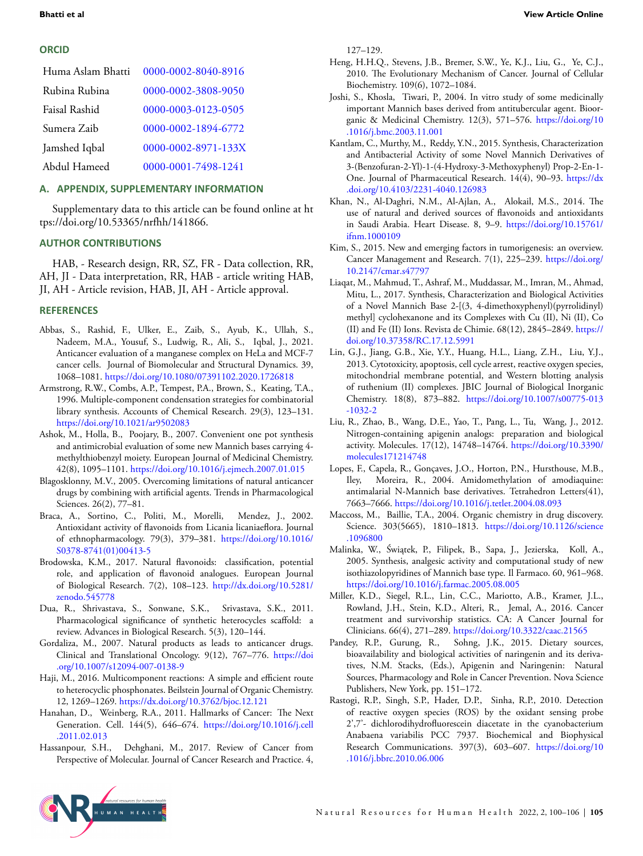## **ORCID**

| Huma Aslam Bhatti | 0000-0002-8040-8916 |
|-------------------|---------------------|
| Rubina Rubina     | 0000-0002-3808-9050 |
| Faisal Rashid     | 0000-0003-0123-0505 |
| Sumera Zaib       | 0000-0002-1894-6772 |
| Jamshed Iqbal     | 0000-0002-8971-133X |
| Abdul Hameed      | 0000-0001-7498-1241 |
|                   |                     |

## <span id="page-5-25"></span>**A. APPENDIX, SUPPLEMENTARY INFORMATION**

Supplementary data to this article can be found online at ht tps://doi.org/10.53365/nrfhh/141866.

## **AUTHOR CONTRIBUTIONS**

HAB, - Research design, RR, SZ, FR - Data collection, RR, AH, JI - Data interpretation, RR, HAB - article writing HAB, JI, AH - Article revision, HAB, JI, AH - Article approval.

## **REFERENCES**

- <span id="page-5-22"></span>Abbas, S., Rashid, F., Ulker, E., Zaib, S., Ayub, K., Ullah, S., Nadeem, M.A., Yousuf, S., Ludwig, R., Ali, S., Iqbal, J., 2021. Anticancer evaluation of a manganese complex on HeLa and MCF-7 cancer cells. Journal of Biomolecular and Structural Dynamics. 39, 1068–1081. <https://doi.org/10.1080/07391102.2020.1726818>
- <span id="page-5-6"></span>Armstrong, R.W., Combs, A.P., Tempest, P.A., Brown, S., Keating, T.A., 1996. Multiple-component condensation strategies for combinatorial library synthesis. Accounts of Chemical Research. 29(3), 123–131. <https://doi.org/10.1021/ar9502083>
- <span id="page-5-10"></span>Ashok, M., Holla, B., Poojary, B., 2007. Convenient one pot synthesis and antimicrobial evaluation of some new Mannich bases carrying 4 methylthiobenzyl moiety. European Journal of Medicinal Chemistry. 42(8), 1095–1101. <https://doi.org/10.1016/j.ejmech.2007.01.015>
- <span id="page-5-21"></span>Blagosklonny, M.V., 2005. Overcoming limitations of natural anticancer drugs by combining with artificial agents. Trends in Pharmacological Sciences. 26(2), 77–81.
- <span id="page-5-3"></span>Braca, A., Sortino, C., Politi, M., Morelli, Mendez, J., 2002. Antioxidant activity of flavonoids from Licania licaniaeflora. Journal of ethnopharmacology. 79(3), 379–381. [https://doi.org/10.1016/](https://doi.org/10.1016/S0378-8741(01)00413-5) [S0378-8741\(01\)00413-5](https://doi.org/10.1016/S0378-8741(01)00413-5)
- <span id="page-5-0"></span>Brodowska, K.M., 2017. Natural flavonoids: classification, potential role, and application of flavonoid analogues. European Journal of Biological Research. 7(2), 108–123. [http://dx.doi.org/10.5281/](http://dx.doi.org/10.5281/zenodo.545778) [zenodo.545778](http://dx.doi.org/10.5281/zenodo.545778)
- <span id="page-5-18"></span>Dua, R., Shrivastava, S., Sonwane, S.K., Srivastava, S.K., 2011. Pharmacological significance of synthetic heterocycles scaffold: a review. Advances in Biological Research. 5(3), 120–144.
- <span id="page-5-20"></span>Gordaliza, M., 2007. Natural products as leads to anticancer drugs. Clinical and Translational Oncology. 9(12), 767–776. [https://doi](https://doi.org/10.1007/s12094-007-0138-9) [.org/10.1007/s12094-007-0138-9](https://doi.org/10.1007/s12094-007-0138-9)
- <span id="page-5-7"></span>Haji, M., 2016. Multicomponent reactions: A simple and efficient route to heterocyclic phosphonates. Beilstein Journal of Organic Chemistry. 12, 1269–1269. <https://dx.doi.org/10.3762/bjoc.12.121>
- <span id="page-5-13"></span>Hanahan, D., Weinberg, R.A., 2011. Hallmarks of Cancer: The Next Generation. Cell. 144(5), 646–674. [https://doi.org/10.1016/j.cell](https://doi.org/10.1016/j.cell.2011.02.013) [.2011.02.013](https://doi.org/10.1016/j.cell.2011.02.013)
- <span id="page-5-14"></span>Hassanpour, S.H., Dehghani, M., 2017. Review of Cancer from Perspective of Molecular. Journal of Cancer Research and Practice. 4,

127–129.

- <span id="page-5-15"></span>Heng, H.H.Q., Stevens, J.B., Bremer, S.W., Ye, K.J., Liu, G., Ye, C.J., 2010. The Evolutionary Mechanism of Cancer. Journal of Cellular Biochemistry. 109(6), 1072–1084.
- <span id="page-5-11"></span>Joshi, S., Khosla, Tiwari, P., 2004. In vitro study of some medicinally important Mannich bases derived from antitubercular agent. Bioorganic & Medicinal Chemistry. 12(3), 571–576. [https://doi.org/10](https://doi.org/10.1016/j.bmc.2003.11.001) [.1016/j.bmc.2003.11.001](https://doi.org/10.1016/j.bmc.2003.11.001)
- <span id="page-5-9"></span>Kantlam, C., Murthy, M., Reddy, Y.N., 2015. Synthesis, Characterization and Antibacterial Activity of some Novel Mannich Derivatives of 3-(Benzofuran-2-Yl)-1-(4-Hydroxy-3-Methoxyphenyl) Prop-2-En-1- One. Journal of Pharmaceutical Research. 14(4), 90–93. [https://dx](https://dx.doi.org/10.4103/2231-4040.126983) [.doi.org/10.4103/2231-4040.126983](https://dx.doi.org/10.4103/2231-4040.126983)
- <span id="page-5-1"></span>Khan, N., Al-Daghri, N.M., Al-Ajlan, A., Alokail, M.S., 2014. The use of natural and derived sources of flavonoids and antioxidants in Saudi Arabia. Heart Disease. 8, 9–9. [https://doi.org/10.15761/](https://doi.org/10.15761/ifnm.1000109) [ifnm.1000109](https://doi.org/10.15761/ifnm.1000109)
- <span id="page-5-16"></span>Kim, S., 2015. New and emerging factors in tumorigenesis: an overview. Cancer Management and Research. 7(1), 225–239. [https://doi.org/](https://doi.org/10.2147/cmar.s47797) [10.2147/cmar.s47797](https://doi.org/10.2147/cmar.s47797)
- <span id="page-5-5"></span>Liaqat, M., Mahmud, T., Ashraf, M., Muddassar, M., Imran, M., Ahmad, Mitu, L., 2017. Synthesis, Characterization and Biological Activities of a Novel Mannich Base 2-[(3, 4-dimethoxyphenyl)(pyrrolidinyl) methyl] cyclohexanone and its Complexes with Cu (II), Ni (II), Co (II) and Fe (II) Ions. Revista de Chimie. 68(12), 2845–2849. [https://](https://doi.org/10.37358/RC.17.12.5991) [doi.org/10.37358/RC.17.12.5991](https://doi.org/10.37358/RC.17.12.5991)
- <span id="page-5-23"></span>Lin, G.J., Jiang, G.B., Xie, Y.Y., Huang, H.L., Liang, Z.H., Liu, Y.J., 2013. Cytotoxicity, apoptosis, cell cycle arrest, reactive oxygen species, mitochondrial membrane potential, and Western blotting analysis of ruthenium (II) complexes. JBIC Journal of Biological Inorganic Chemistry. 18(8), 873–882. [https://doi.org/10.1007/s00775-013](https://doi.org/10.1007/s00775-013-1032-2) [-1032-2](https://doi.org/10.1007/s00775-013-1032-2)
- <span id="page-5-2"></span>Liu, R., Zhao, B., Wang, D.E., Yao, T., Pang, L., Tu, Wang, J., 2012. Nitrogen-containing apigenin analogs: preparation and biological activity. Molecules. 17(12), 14748–14764. [https://doi.org/10.3390/](https://doi.org/10.3390/molecules171214748) [molecules171214748](https://doi.org/10.3390/molecules171214748)
- <span id="page-5-8"></span>Lopes, F., Capela, R., Gonçaves, J.O., Horton, P.N., Hursthouse, M.B., Iley, Moreira, R., 2004. Amidomethylation of amodiaquine: antimalarial N-Mannich base derivatives. Tetrahedron Letters(41), 7663–7666. <https://doi.org/10.1016/j.tetlet.2004.08.093>
- <span id="page-5-19"></span>Maccoss, M., Baillie, T.A., 2004. Organic chemistry in drug discovery. Science. 303(5665), 1810–1813. [https://doi.org/10.1126/science](https://doi.org/10.1126/science.1096800) [.1096800](https://doi.org/10.1126/science.1096800)
- <span id="page-5-12"></span>Malinka, W., Świątek, P., Filipek, B., Sapa, J., Jezierska, Koll, A., 2005. Synthesis, analgesic activity and computational study of new isothiazolopyridines of Mannich base type. Il Farmaco. 60, 961–968. <https://doi.org/10.1016/j.farmac.2005.08.005>
- <span id="page-5-17"></span>Miller, K.D., Siegel, R.L., Lin, C.C., Mariotto, A.B., Kramer, J.L., Rowland, J.H., Stein, K.D., Alteri, R., Jemal, A., 2016. Cancer treatment and survivorship statistics. CA: A Cancer Journal for Clinicians. 66(4), 271–289. <https://doi.org/10.3322/caac.21565>
- <span id="page-5-4"></span>Pandey, R.P., Gurung, R., Sohng, J.K., 2015. Dietary sources, bioavailability and biological activities of naringenin and its derivatives, N.M. Stacks, (Eds.), Apigenin and Naringenin: Natural Sources, Pharmacology and Role in Cancer Prevention. Nova Science Publishers, New York, pp. 151–172.
- <span id="page-5-24"></span>Rastogi, R.P., Singh, S.P., Hader, D.P., Sinha, R.P., 2010. Detection of reactive oxygen species (ROS) by the oxidant sensing probe 2',7'- dichlorodihydrofluorescein diacetate in the cyanobacterium Anabaena variabilis PCC 7937. Biochemical and Biophysical Research Communications. 397(3), 603–607. [https://doi.org/10](https://doi.org/10.1016/j.bbrc.2010.06.006) [.1016/j.bbrc.2010.06.006](https://doi.org/10.1016/j.bbrc.2010.06.006)